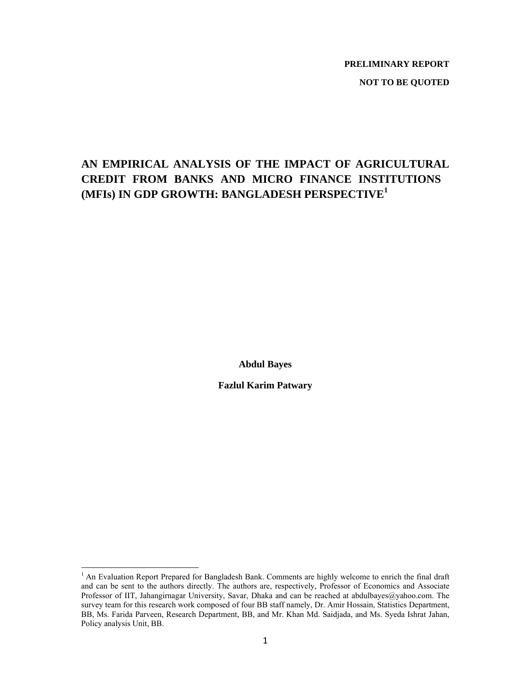# **PRELIMINARY REPORT**

# **NOT TO BE QUOTED**

# **AN EMPIRICAL ANALYSIS OF THE IMPACT OF AGRICULTURAL CREDIT FROM BANKS AND MICRO FINANCE INSTITUTIONS (MFIs) IN GDP GROWTH: BANGLADESH PERSPECTIVE<sup>1</sup>**

**Abdul Bayes** 

**Fazlul Karim Patwary** 

<sup>-&</sup>lt;br><sup>1</sup> An Evaluation Report Prepared for Bangladesh Bank. Comments are highly welcome to enrich the final draft and can be sent to the authors directly. The authors are, respectively, Professor of Economics and Associate Professor of IIT, Jahangirnagar University, Savar, Dhaka and can be reached at abdulbayes@yahoo.com. The survey team for this research work composed of four BB staff namely, Dr. Amir Hossain, Statistics Department, BB, Ms. Farida Parveen, Research Department, BB, and Mr. Khan Md. Saidjada, and Ms. Syeda Ishrat Jahan, Policy analysis Unit, BB.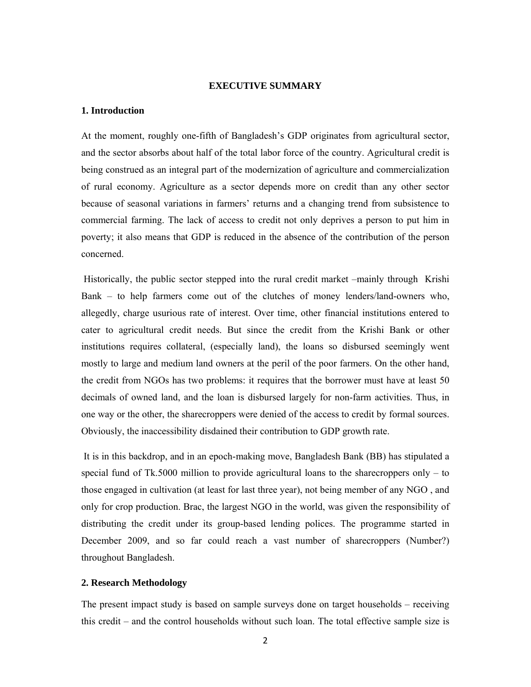## **EXECUTIVE SUMMARY**

### **1. Introduction**

At the moment, roughly one-fifth of Bangladesh's GDP originates from agricultural sector, and the sector absorbs about half of the total labor force of the country. Agricultural credit is being construed as an integral part of the modernization of agriculture and commercialization of rural economy. Agriculture as a sector depends more on credit than any other sector because of seasonal variations in farmers' returns and a changing trend from subsistence to commercial farming. The lack of access to credit not only deprives a person to put him in poverty; it also means that GDP is reduced in the absence of the contribution of the person concerned.

 Historically, the public sector stepped into the rural credit market –mainly through Krishi Bank – to help farmers come out of the clutches of money lenders/land-owners who, allegedly, charge usurious rate of interest. Over time, other financial institutions entered to cater to agricultural credit needs. But since the credit from the Krishi Bank or other institutions requires collateral, (especially land), the loans so disbursed seemingly went mostly to large and medium land owners at the peril of the poor farmers. On the other hand, the credit from NGOs has two problems: it requires that the borrower must have at least 50 decimals of owned land, and the loan is disbursed largely for non-farm activities. Thus, in one way or the other, the sharecroppers were denied of the access to credit by formal sources. Obviously, the inaccessibility disdained their contribution to GDP growth rate.

 It is in this backdrop, and in an epoch-making move, Bangladesh Bank (BB) has stipulated a special fund of Tk.5000 million to provide agricultural loans to the sharecroppers only – to those engaged in cultivation (at least for last three year), not being member of any NGO , and only for crop production. Brac, the largest NGO in the world, was given the responsibility of distributing the credit under its group-based lending polices. The programme started in December 2009, and so far could reach a vast number of sharecroppers (Number?) throughout Bangladesh.

#### **2. Research Methodology**

The present impact study is based on sample surveys done on target households – receiving this credit – and the control households without such loan. The total effective sample size is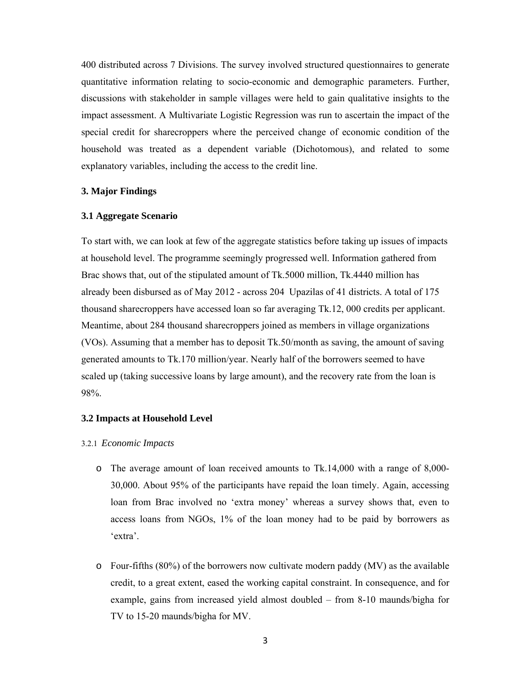400 distributed across 7 Divisions. The survey involved structured questionnaires to generate quantitative information relating to socio-economic and demographic parameters. Further, discussions with stakeholder in sample villages were held to gain qualitative insights to the impact assessment. A Multivariate Logistic Regression was run to ascertain the impact of the special credit for sharecroppers where the perceived change of economic condition of the household was treated as a dependent variable (Dichotomous), and related to some explanatory variables, including the access to the credit line.

#### **3. Major Findings**

## **3.1 Aggregate Scenario**

To start with, we can look at few of the aggregate statistics before taking up issues of impacts at household level. The programme seemingly progressed well. Information gathered from Brac shows that, out of the stipulated amount of Tk.5000 million, Tk.4440 million has already been disbursed as of May 2012 - across 204 Upazilas of 41 districts. A total of 175 thousand sharecroppers have accessed loan so far averaging Tk.12, 000 credits per applicant. Meantime, about 284 thousand sharecroppers joined as members in village organizations (VOs). Assuming that a member has to deposit Tk.50/month as saving, the amount of saving generated amounts to Tk.170 million/year. Nearly half of the borrowers seemed to have scaled up (taking successive loans by large amount), and the recovery rate from the loan is 98%.

#### **3.2 Impacts at Household Level**

#### 3.2.1 *Economic Impacts*

- o The average amount of loan received amounts to Tk.14,000 with a range of 8,000- 30,000. About 95% of the participants have repaid the loan timely. Again, accessing loan from Brac involved no 'extra money' whereas a survey shows that, even to access loans from NGOs, 1% of the loan money had to be paid by borrowers as 'extra'.
- $\circ$  Four-fifths (80%) of the borrowers now cultivate modern paddy (MV) as the available credit, to a great extent, eased the working capital constraint. In consequence, and for example, gains from increased yield almost doubled – from 8-10 maunds/bigha for TV to 15-20 maunds/bigha for MV.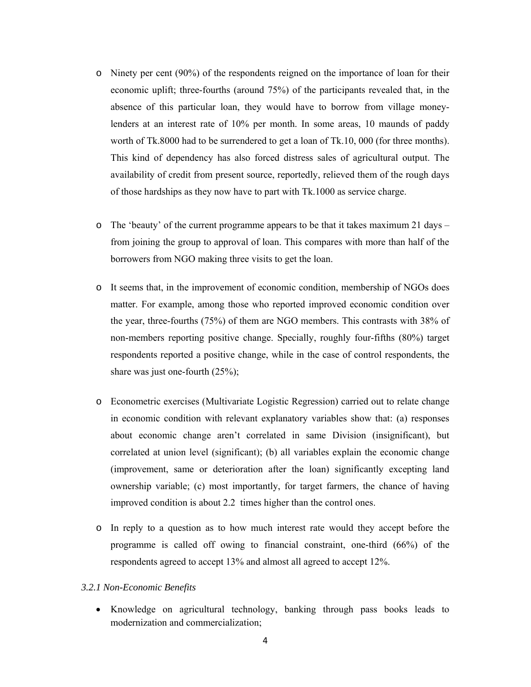- o Ninety per cent (90%) of the respondents reigned on the importance of loan for their economic uplift; three-fourths (around 75%) of the participants revealed that, in the absence of this particular loan, they would have to borrow from village moneylenders at an interest rate of 10% per month. In some areas, 10 maunds of paddy worth of Tk.8000 had to be surrendered to get a loan of Tk.10, 000 (for three months). This kind of dependency has also forced distress sales of agricultural output. The availability of credit from present source, reportedly, relieved them of the rough days of those hardships as they now have to part with Tk.1000 as service charge.
- o The 'beauty' of the current programme appears to be that it takes maximum 21 days from joining the group to approval of loan. This compares with more than half of the borrowers from NGO making three visits to get the loan.
- o It seems that, in the improvement of economic condition, membership of NGOs does matter. For example, among those who reported improved economic condition over the year, three-fourths (75%) of them are NGO members. This contrasts with 38% of non-members reporting positive change. Specially, roughly four-fifths (80%) target respondents reported a positive change, while in the case of control respondents, the share was just one-fourth (25%);
- o Econometric exercises (Multivariate Logistic Regression) carried out to relate change in economic condition with relevant explanatory variables show that: (a) responses about economic change aren't correlated in same Division (insignificant), but correlated at union level (significant); (b) all variables explain the economic change (improvement, same or deterioration after the loan) significantly excepting land ownership variable; (c) most importantly, for target farmers, the chance of having improved condition is about 2.2 times higher than the control ones.
- o In reply to a question as to how much interest rate would they accept before the programme is called off owing to financial constraint, one-third (66%) of the respondents agreed to accept 13% and almost all agreed to accept 12%.
- *3.2.1 Non-Economic Benefits* 
	- Knowledge on agricultural technology, banking through pass books leads to modernization and commercialization;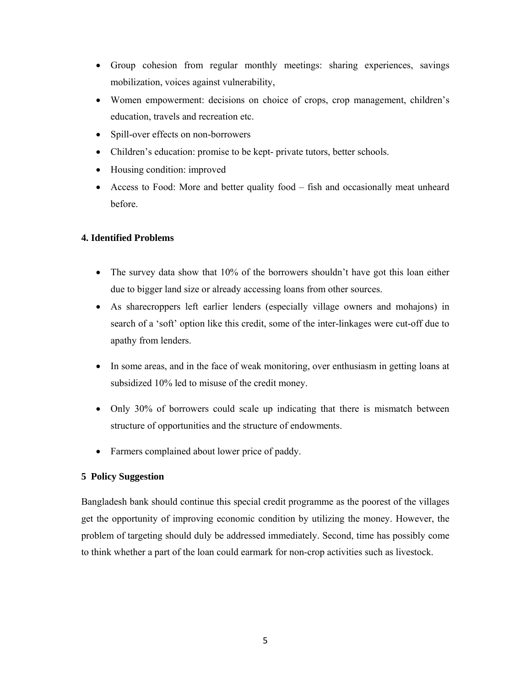- Group cohesion from regular monthly meetings: sharing experiences, savings mobilization, voices against vulnerability,
- Women empowerment: decisions on choice of crops, crop management, children's education, travels and recreation etc.
- Spill-over effects on non-borrowers
- Children's education: promise to be kept- private tutors, better schools.
- Housing condition: improved
- Access to Food: More and better quality food fish and occasionally meat unheard before.

# **4. Identified Problems**

- The survey data show that 10% of the borrowers shouldn't have got this loan either due to bigger land size or already accessing loans from other sources.
- As sharecroppers left earlier lenders (especially village owners and mohajons) in search of a 'soft' option like this credit, some of the inter-linkages were cut-off due to apathy from lenders.
- In some areas, and in the face of weak monitoring, over enthusiasm in getting loans at subsidized 10% led to misuse of the credit money.
- Only 30% of borrowers could scale up indicating that there is mismatch between structure of opportunities and the structure of endowments.
- Farmers complained about lower price of paddy.

# **5 Policy Suggestion**

Bangladesh bank should continue this special credit programme as the poorest of the villages get the opportunity of improving economic condition by utilizing the money. However, the problem of targeting should duly be addressed immediately. Second, time has possibly come to think whether a part of the loan could earmark for non-crop activities such as livestock.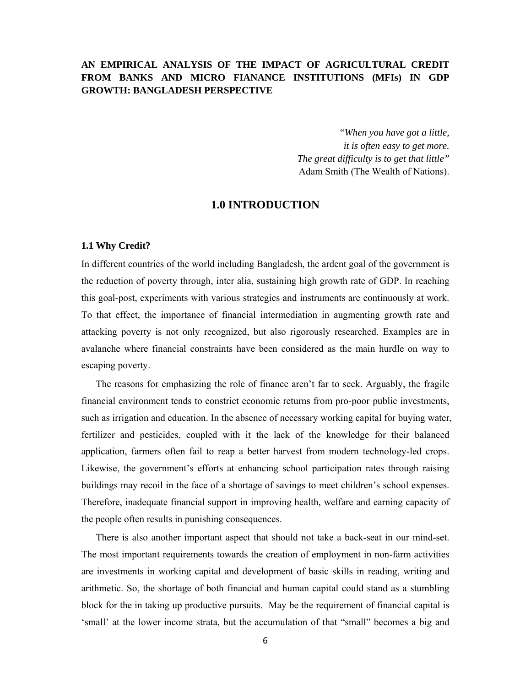# **AN EMPIRICAL ANALYSIS OF THE IMPACT OF AGRICULTURAL CREDIT FROM BANKS AND MICRO FIANANCE INSTITUTIONS (MFIs) IN GDP GROWTH: BANGLADESH PERSPECTIVE**

*"When you have got a little, it is often easy to get more. The great difficulty is to get that little"* Adam Smith (The Wealth of Nations).

# **1.0 INTRODUCTION**

#### **1.1 Why Credit?**

In different countries of the world including Bangladesh, the ardent goal of the government is the reduction of poverty through, inter alia, sustaining high growth rate of GDP. In reaching this goal-post, experiments with various strategies and instruments are continuously at work. To that effect, the importance of financial intermediation in augmenting growth rate and attacking poverty is not only recognized, but also rigorously researched. Examples are in avalanche where financial constraints have been considered as the main hurdle on way to escaping poverty.

The reasons for emphasizing the role of finance aren't far to seek. Arguably, the fragile financial environment tends to constrict economic returns from pro-poor public investments, such as irrigation and education. In the absence of necessary working capital for buying water, fertilizer and pesticides, coupled with it the lack of the knowledge for their balanced application, farmers often fail to reap a better harvest from modern technology-led crops. Likewise, the government's efforts at enhancing school participation rates through raising buildings may recoil in the face of a shortage of savings to meet children's school expenses. Therefore, inadequate financial support in improving health, welfare and earning capacity of the people often results in punishing consequences.

There is also another important aspect that should not take a back-seat in our mind-set. The most important requirements towards the creation of employment in non-farm activities are investments in working capital and development of basic skills in reading, writing and arithmetic. So, the shortage of both financial and human capital could stand as a stumbling block for the in taking up productive pursuits. May be the requirement of financial capital is 'small' at the lower income strata, but the accumulation of that "small" becomes a big and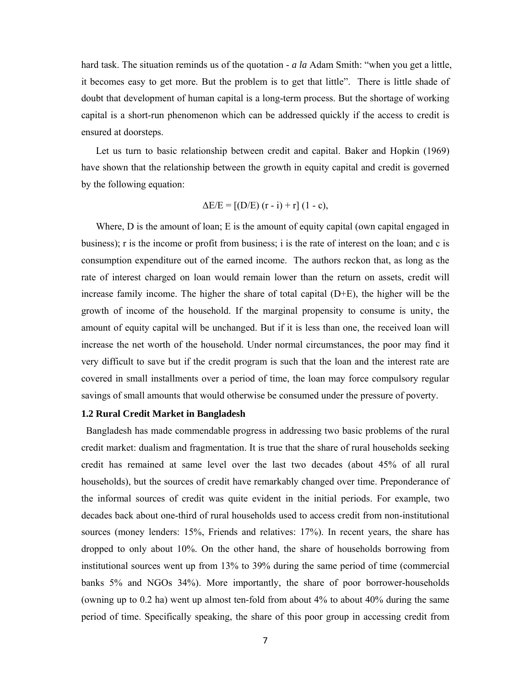hard task. The situation reminds us of the quotation - *a la* Adam Smith: "when you get a little, it becomes easy to get more. But the problem is to get that little". There is little shade of doubt that development of human capital is a long-term process. But the shortage of working capital is a short-run phenomenon which can be addressed quickly if the access to credit is ensured at doorsteps.

Let us turn to basic relationship between credit and capital. Baker and Hopkin (1969) have shown that the relationship between the growth in equity capital and credit is governed by the following equation:

$$
\Delta E/E = [(D/E) (r - i) + r] (1 - c),
$$

Where, D is the amount of loan; E is the amount of equity capital (own capital engaged in business); r is the income or profit from business; i is the rate of interest on the loan; and c is consumption expenditure out of the earned income. The authors reckon that, as long as the rate of interest charged on loan would remain lower than the return on assets, credit will increase family income. The higher the share of total capital  $(D+E)$ , the higher will be the growth of income of the household. If the marginal propensity to consume is unity, the amount of equity capital will be unchanged. But if it is less than one, the received loan will increase the net worth of the household. Under normal circumstances, the poor may find it very difficult to save but if the credit program is such that the loan and the interest rate are covered in small installments over a period of time, the loan may force compulsory regular savings of small amounts that would otherwise be consumed under the pressure of poverty.

#### **1.2 Rural Credit Market in Bangladesh**

 Bangladesh has made commendable progress in addressing two basic problems of the rural credit market: dualism and fragmentation. It is true that the share of rural households seeking credit has remained at same level over the last two decades (about 45% of all rural households), but the sources of credit have remarkably changed over time. Preponderance of the informal sources of credit was quite evident in the initial periods. For example, two decades back about one-third of rural households used to access credit from non-institutional sources (money lenders: 15%, Friends and relatives: 17%). In recent years, the share has dropped to only about 10%. On the other hand, the share of households borrowing from institutional sources went up from 13% to 39% during the same period of time (commercial banks 5% and NGOs 34%). More importantly, the share of poor borrower-households (owning up to 0.2 ha) went up almost ten-fold from about 4% to about 40% during the same period of time. Specifically speaking, the share of this poor group in accessing credit from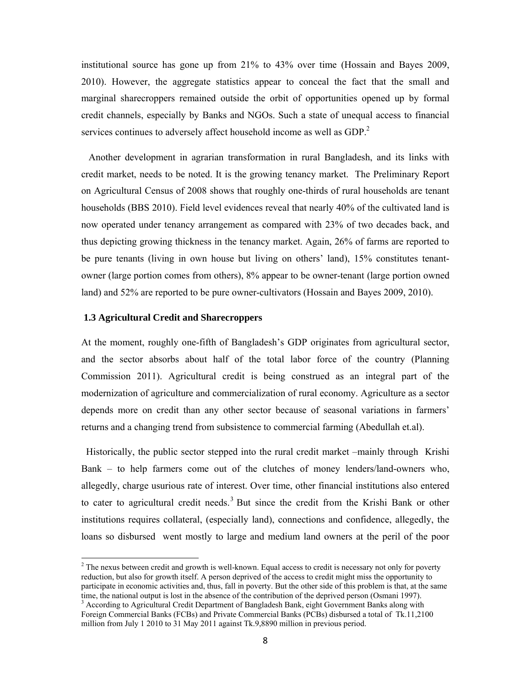institutional source has gone up from 21% to 43% over time (Hossain and Bayes 2009, 2010). However, the aggregate statistics appear to conceal the fact that the small and marginal sharecroppers remained outside the orbit of opportunities opened up by formal credit channels, especially by Banks and NGOs. Such a state of unequal access to financial services continues to adversely affect household income as well as GDP.<sup>2</sup>

 Another development in agrarian transformation in rural Bangladesh, and its links with credit market, needs to be noted. It is the growing tenancy market. The Preliminary Report on Agricultural Census of 2008 shows that roughly one-thirds of rural households are tenant households (BBS 2010). Field level evidences reveal that nearly 40% of the cultivated land is now operated under tenancy arrangement as compared with 23% of two decades back, and thus depicting growing thickness in the tenancy market. Again, 26% of farms are reported to be pure tenants (living in own house but living on others' land), 15% constitutes tenantowner (large portion comes from others), 8% appear to be owner-tenant (large portion owned land) and 52% are reported to be pure owner-cultivators (Hossain and Bayes 2009, 2010).

#### **1.3 Agricultural Credit and Sharecroppers**

At the moment, roughly one-fifth of Bangladesh's GDP originates from agricultural sector, and the sector absorbs about half of the total labor force of the country (Planning Commission 2011). Agricultural credit is being construed as an integral part of the modernization of agriculture and commercialization of rural economy. Agriculture as a sector depends more on credit than any other sector because of seasonal variations in farmers' returns and a changing trend from subsistence to commercial farming (Abedullah et.al).

 Historically, the public sector stepped into the rural credit market –mainly through Krishi Bank – to help farmers come out of the clutches of money lenders/land-owners who, allegedly, charge usurious rate of interest. Over time, other financial institutions also entered to cater to agricultural credit needs.<sup>3</sup> But since the credit from the Krishi Bank or other institutions requires collateral, (especially land), connections and confidence, allegedly, the loans so disbursed went mostly to large and medium land owners at the peril of the poor

<sup>&</sup>lt;sup>2</sup> The nexus between credit and growth is well-known. Equal access to credit is necessary not only for poverty reduction, but also for growth itself. A person deprived of the access to credit might miss the opportunity to participate in economic activities and, thus, fall in poverty. But the other side of this problem is that, at the same time, the national output is lost in the absence of the contribution of the deprived person (Osmani 1997).

<sup>&</sup>lt;sup>3</sup> According to Agricultural Credit Department of Bangladesh Bank, eight Government Banks along with Foreign Commercial Banks (FCBs) and Private Commercial Banks (PCBs) disbursed a total of Tk.11,2100 million from July 1 2010 to 31 May 2011 against Tk.9,8890 million in previous period.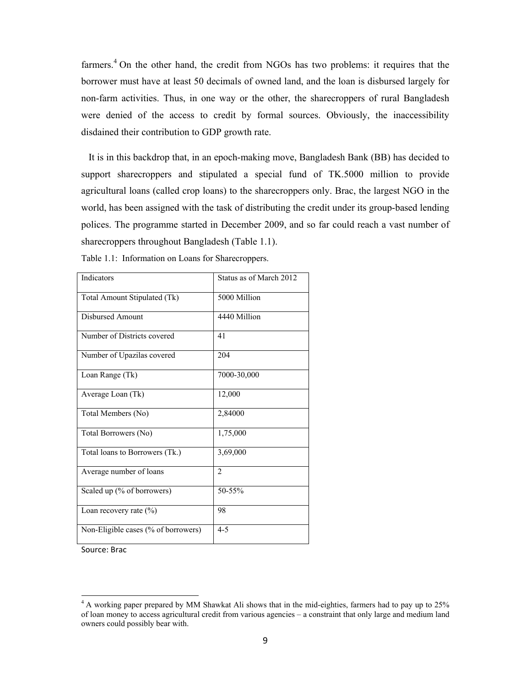farmers.<sup>4</sup> On the other hand, the credit from NGOs has two problems: it requires that the borrower must have at least 50 decimals of owned land, and the loan is disbursed largely for non-farm activities. Thus, in one way or the other, the sharecroppers of rural Bangladesh were denied of the access to credit by formal sources. Obviously, the inaccessibility disdained their contribution to GDP growth rate.

 It is in this backdrop that, in an epoch-making move, Bangladesh Bank (BB) has decided to support sharecroppers and stipulated a special fund of TK.5000 million to provide agricultural loans (called crop loans) to the sharecroppers only. Brac, the largest NGO in the world, has been assigned with the task of distributing the credit under its group-based lending polices. The programme started in December 2009, and so far could reach a vast number of sharecroppers throughout Bangladesh (Table 1.1).

| Indicators                          | Status as of March 2012 |
|-------------------------------------|-------------------------|
| Total Amount Stipulated (Tk)        | 5000 Million            |
| Disbursed Amount                    | 4440 Million            |
| Number of Districts covered         | 41                      |
| Number of Upazilas covered          | 204                     |
| Loan Range (Tk)                     | 7000-30,000             |
| Average Loan (Tk)                   | 12,000                  |
| Total Members (No)                  | 2,84000                 |
| Total Borrowers (No)                | 1,75,000                |
| Total loans to Borrowers (Tk.)      | 3,69,000                |
| Average number of loans             | $\overline{2}$          |
| Scaled up (% of borrowers)          | 50-55%                  |
| Loan recovery rate $(\% )$          | 98                      |
| Non-Eligible cases (% of borrowers) | $4 - 5$                 |

Table 1.1: Information on Loans for Sharecroppers.

Source: Brac

<sup>&</sup>lt;sup>4</sup> A working paper prepared by MM Shawkat Ali shows that in the mid-eighties, farmers had to pay up to 25% of loan money to access agricultural credit from various agencies – a constraint that only large and medium land owners could possibly bear with.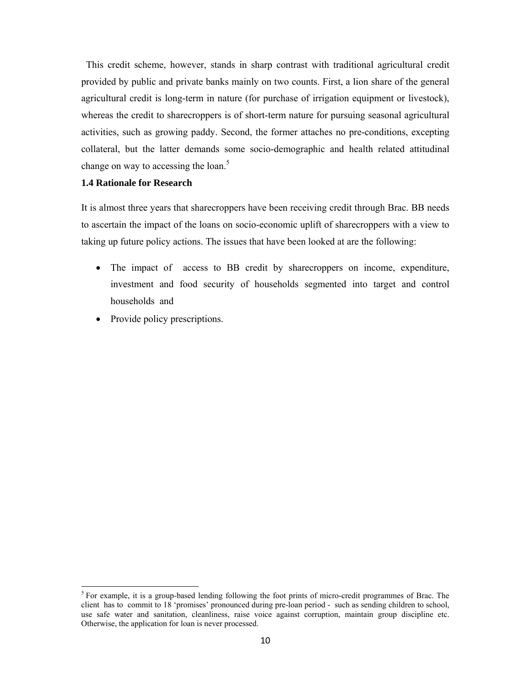This credit scheme, however, stands in sharp contrast with traditional agricultural credit provided by public and private banks mainly on two counts. First, a lion share of the general agricultural credit is long-term in nature (for purchase of irrigation equipment or livestock), whereas the credit to sharecroppers is of short-term nature for pursuing seasonal agricultural activities, such as growing paddy. Second, the former attaches no pre-conditions, excepting collateral, but the latter demands some socio-demographic and health related attitudinal change on way to accessing the loan.<sup>5</sup>

## **1.4 Rationale for Research**

It is almost three years that sharecroppers have been receiving credit through Brac. BB needs to ascertain the impact of the loans on socio-economic uplift of sharecroppers with a view to taking up future policy actions. The issues that have been looked at are the following:

- The impact of access to BB credit by sharecroppers on income, expenditure, investment and food security of households segmented into target and control households and
- Provide policy prescriptions.

<sup>&</sup>lt;sup>5</sup> For example, it is a group-based lending following the foot prints of micro-credit programmes of Brac. The client has to commit to 18 'promises' pronounced during pre-loan period - such as sending children to school, use safe water and sanitation, cleanliness, raise voice against corruption, maintain group discipline etc. Otherwise, the application for loan is never processed.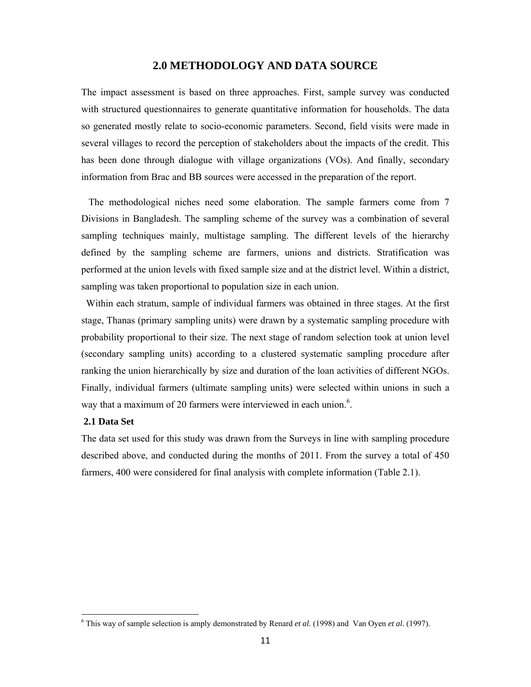## **2.0 METHODOLOGY AND DATA SOURCE**

The impact assessment is based on three approaches. First, sample survey was conducted with structured questionnaires to generate quantitative information for households. The data so generated mostly relate to socio-economic parameters. Second, field visits were made in several villages to record the perception of stakeholders about the impacts of the credit. This has been done through dialogue with village organizations (VOs). And finally, secondary information from Brac and BB sources were accessed in the preparation of the report.

 The methodological niches need some elaboration. The sample farmers come from 7 Divisions in Bangladesh. The sampling scheme of the survey was a combination of several sampling techniques mainly, multistage sampling. The different levels of the hierarchy defined by the sampling scheme are farmers, unions and districts. Stratification was performed at the union levels with fixed sample size and at the district level. Within a district, sampling was taken proportional to population size in each union.

 Within each stratum, sample of individual farmers was obtained in three stages. At the first stage, Thanas (primary sampling units) were drawn by a systematic sampling procedure with probability proportional to their size. The next stage of random selection took at union level (secondary sampling units) according to a clustered systematic sampling procedure after ranking the union hierarchically by size and duration of the loan activities of different NGOs. Finally, individual farmers (ultimate sampling units) were selected within unions in such a way that a maximum of 20 farmers were interviewed in each union. $6$ .

#### **2.1 Data Set**

The data set used for this study was drawn from the Surveys in line with sampling procedure described above, and conducted during the months of 2011. From the survey a total of 450 farmers, 400 were considered for final analysis with complete information (Table 2.1).

 6 This way of sample selection is amply demonstrated by Renard *et al.* (1998) and Van Oyen *et al.* (1997).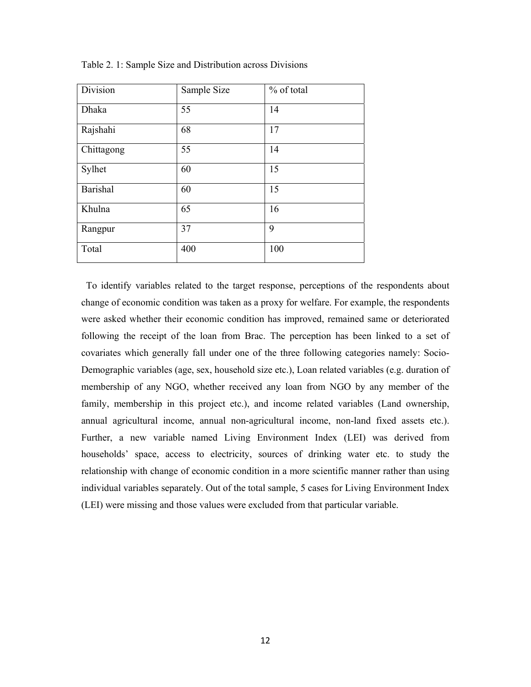| Division   | Sample Size | % of total |
|------------|-------------|------------|
| Dhaka      | 55          | 14         |
| Rajshahi   | 68          | 17         |
| Chittagong | 55          | 14         |
| Sylhet     | 60          | 15         |
| Barishal   | 60          | 15         |
| Khulna     | 65          | 16         |
| Rangpur    | 37          | 9          |
| Total      | 400         | 100        |

Table 2. 1: Sample Size and Distribution across Divisions

 To identify variables related to the target response, perceptions of the respondents about change of economic condition was taken as a proxy for welfare. For example, the respondents were asked whether their economic condition has improved, remained same or deteriorated following the receipt of the loan from Brac. The perception has been linked to a set of covariates which generally fall under one of the three following categories namely: Socio-Demographic variables (age, sex, household size etc.), Loan related variables (e.g. duration of membership of any NGO, whether received any loan from NGO by any member of the family, membership in this project etc.), and income related variables (Land ownership, annual agricultural income, annual non-agricultural income, non-land fixed assets etc.). Further, a new variable named Living Environment Index (LEI) was derived from households' space, access to electricity, sources of drinking water etc. to study the relationship with change of economic condition in a more scientific manner rather than using individual variables separately. Out of the total sample, 5 cases for Living Environment Index (LEI) were missing and those values were excluded from that particular variable.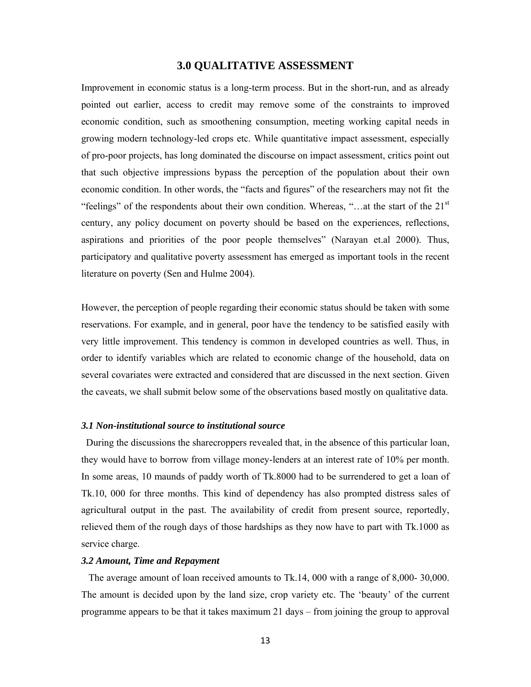# **3.0 QUALITATIVE ASSESSMENT**

Improvement in economic status is a long-term process. But in the short-run, and as already pointed out earlier, access to credit may remove some of the constraints to improved economic condition, such as smoothening consumption, meeting working capital needs in growing modern technology-led crops etc. While quantitative impact assessment, especially of pro-poor projects, has long dominated the discourse on impact assessment, critics point out that such objective impressions bypass the perception of the population about their own economic condition. In other words, the "facts and figures" of the researchers may not fit the "feelings" of the respondents about their own condition. Whereas, "... at the start of the  $21<sup>st</sup>$ century, any policy document on poverty should be based on the experiences, reflections, aspirations and priorities of the poor people themselves" (Narayan et.al 2000). Thus, participatory and qualitative poverty assessment has emerged as important tools in the recent literature on poverty (Sen and Hulme 2004).

However, the perception of people regarding their economic status should be taken with some reservations. For example, and in general, poor have the tendency to be satisfied easily with very little improvement. This tendency is common in developed countries as well. Thus, in order to identify variables which are related to economic change of the household, data on several covariates were extracted and considered that are discussed in the next section. Given the caveats, we shall submit below some of the observations based mostly on qualitative data.

### *3.1 Non-institutional source to institutional source*

 During the discussions the sharecroppers revealed that, in the absence of this particular loan, they would have to borrow from village money-lenders at an interest rate of 10% per month. In some areas, 10 maunds of paddy worth of Tk.8000 had to be surrendered to get a loan of Tk.10, 000 for three months. This kind of dependency has also prompted distress sales of agricultural output in the past. The availability of credit from present source, reportedly, relieved them of the rough days of those hardships as they now have to part with Tk.1000 as service charge.

#### *3.2 Amount, Time and Repayment*

 The average amount of loan received amounts to Tk.14, 000 with a range of 8,000- 30,000. The amount is decided upon by the land size, crop variety etc. The 'beauty' of the current programme appears to be that it takes maximum 21 days – from joining the group to approval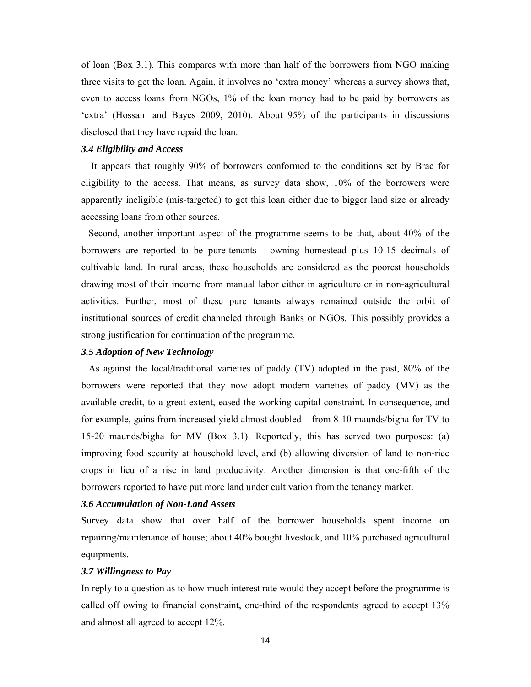of loan (Box 3.1). This compares with more than half of the borrowers from NGO making three visits to get the loan. Again, it involves no 'extra money' whereas a survey shows that, even to access loans from NGOs, 1% of the loan money had to be paid by borrowers as 'extra' (Hossain and Bayes 2009, 2010). About 95% of the participants in discussions disclosed that they have repaid the loan.

## *3.4 Eligibility and Access*

 It appears that roughly 90% of borrowers conformed to the conditions set by Brac for eligibility to the access. That means, as survey data show, 10% of the borrowers were apparently ineligible (mis-targeted) to get this loan either due to bigger land size or already accessing loans from other sources.

 Second, another important aspect of the programme seems to be that, about 40% of the borrowers are reported to be pure-tenants - owning homestead plus 10-15 decimals of cultivable land. In rural areas, these households are considered as the poorest households drawing most of their income from manual labor either in agriculture or in non-agricultural activities. Further, most of these pure tenants always remained outside the orbit of institutional sources of credit channeled through Banks or NGOs. This possibly provides a strong justification for continuation of the programme.

#### *3.5 Adoption of New Technology*

 As against the local/traditional varieties of paddy (TV) adopted in the past, 80% of the borrowers were reported that they now adopt modern varieties of paddy (MV) as the available credit, to a great extent, eased the working capital constraint. In consequence, and for example, gains from increased yield almost doubled – from 8-10 maunds/bigha for TV to 15-20 maunds/bigha for MV (Box 3.1). Reportedly, this has served two purposes: (a) improving food security at household level, and (b) allowing diversion of land to non-rice crops in lieu of a rise in land productivity. Another dimension is that one-fifth of the borrowers reported to have put more land under cultivation from the tenancy market.

## *3.6 Accumulation of Non-Land Assets*

Survey data show that over half of the borrower households spent income on repairing/maintenance of house; about 40% bought livestock, and 10% purchased agricultural equipments.

#### *3.7 Willingness to Pay*

In reply to a question as to how much interest rate would they accept before the programme is called off owing to financial constraint, one-third of the respondents agreed to accept 13% and almost all agreed to accept 12%.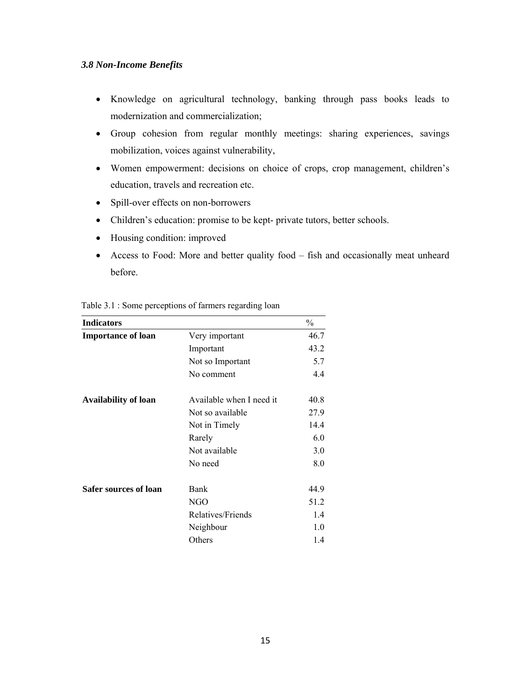## *3.8 Non-Income Benefits*

- Knowledge on agricultural technology, banking through pass books leads to modernization and commercialization;
- Group cohesion from regular monthly meetings: sharing experiences, savings mobilization, voices against vulnerability,
- Women empowerment: decisions on choice of crops, crop management, children's education, travels and recreation etc.
- Spill-over effects on non-borrowers
- Children's education: promise to be kept- private tutors, better schools.
- Housing condition: improved
- Access to Food: More and better quality food fish and occasionally meat unheard before.

| <b>Indicators</b>           |                          | $\frac{0}{0}$ |
|-----------------------------|--------------------------|---------------|
| <b>Importance of loan</b>   | Very important           | 46.7          |
|                             | Important                | 43.2          |
|                             | Not so Important         | 5.7           |
|                             | No comment               | 4.4           |
| <b>Availability of loan</b> | Available when I need it | 40.8          |
|                             | Not so available         | 27.9          |
|                             | Not in Timely            | 14.4          |
|                             | Rarely                   | 6.0           |
|                             | Not available            | 3.0           |
|                             | No need                  | 8.0           |
| Safer sources of loan       | Bank                     | 44.9          |
|                             | NGO                      | 51.2          |
|                             | Relatives/Friends        | 1.4           |
|                             | Neighbour                | 1.0           |
|                             | Others                   | 1.4           |

#### Table 3.1 : Some perceptions of farmers regarding loan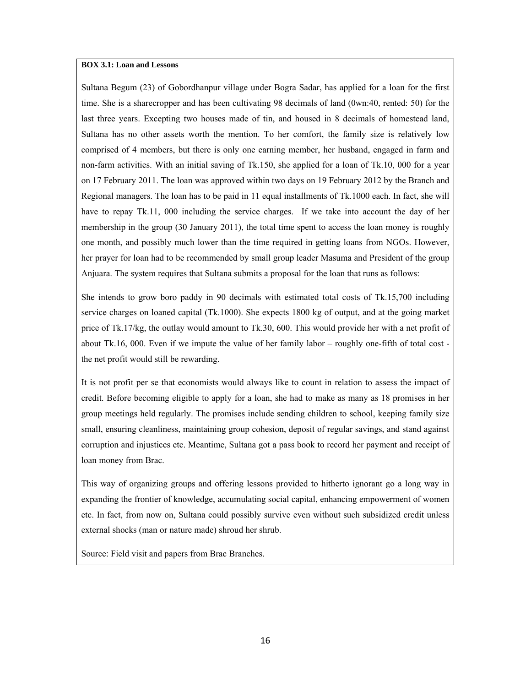#### **BOX 3.1: Loan and Lessons**

Sultana Begum (23) of Gobordhanpur village under Bogra Sadar, has applied for a loan for the first time. She is a sharecropper and has been cultivating 98 decimals of land (0wn:40, rented: 50) for the last three years. Excepting two houses made of tin, and housed in 8 decimals of homestead land, Sultana has no other assets worth the mention. To her comfort, the family size is relatively low comprised of 4 members, but there is only one earning member, her husband, engaged in farm and non-farm activities. With an initial saving of Tk.150, she applied for a loan of Tk.10, 000 for a year on 17 February 2011. The loan was approved within two days on 19 February 2012 by the Branch and Regional managers. The loan has to be paid in 11 equal installments of Tk.1000 each. In fact, she will have to repay Tk.11, 000 including the service charges. If we take into account the day of her membership in the group (30 January 2011), the total time spent to access the loan money is roughly one month, and possibly much lower than the time required in getting loans from NGOs. However, her prayer for loan had to be recommended by small group leader Masuma and President of the group Anjuara. The system requires that Sultana submits a proposal for the loan that runs as follows:

She intends to grow boro paddy in 90 decimals with estimated total costs of Tk.15,700 including service charges on loaned capital (Tk.1000). She expects 1800 kg of output, and at the going market price of Tk.17/kg, the outlay would amount to Tk.30, 600. This would provide her with a net profit of about Tk.16, 000. Even if we impute the value of her family labor – roughly one-fifth of total cost the net profit would still be rewarding.

It is not profit per se that economists would always like to count in relation to assess the impact of credit. Before becoming eligible to apply for a loan, she had to make as many as 18 promises in her group meetings held regularly. The promises include sending children to school, keeping family size small, ensuring cleanliness, maintaining group cohesion, deposit of regular savings, and stand against corruption and injustices etc. Meantime, Sultana got a pass book to record her payment and receipt of loan money from Brac.

This way of organizing groups and offering lessons provided to hitherto ignorant go a long way in expanding the frontier of knowledge, accumulating social capital, enhancing empowerment of women etc. In fact, from now on, Sultana could possibly survive even without such subsidized credit unless external shocks (man or nature made) shroud her shrub.

Source: Field visit and papers from Brac Branches.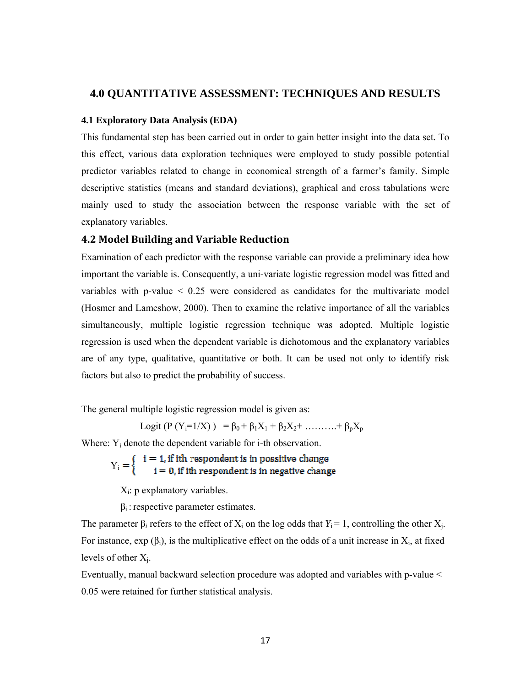## **4.0 QUANTITATIVE ASSESSMENT: TECHNIQUES AND RESULTS**

#### **4.1 Exploratory Data Analysis (EDA)**

This fundamental step has been carried out in order to gain better insight into the data set. To this effect, various data exploration techniques were employed to study possible potential predictor variables related to change in economical strength of a farmer's family. Simple descriptive statistics (means and standard deviations), graphical and cross tabulations were mainly used to study the association between the response variable with the set of explanatory variables.

## **4.2 Model Building and Variable Reduction**

Examination of each predictor with the response variable can provide a preliminary idea how important the variable is. Consequently, a uni-variate logistic regression model was fitted and variables with p-value < 0.25 were considered as candidates for the multivariate model (Hosmer and Lameshow, 2000). Then to examine the relative importance of all the variables simultaneously, multiple logistic regression technique was adopted. Multiple logistic regression is used when the dependent variable is dichotomous and the explanatory variables are of any type, qualitative, quantitative or both. It can be used not only to identify risk factors but also to predict the probability of success.

The general multiple logistic regression model is given as:

Logit (P (Yi=1/X) ) = β0 + β1X1 + β2X2+ ……….+ βpXp

Where:  $Y_i$  denote the dependent variable for i-th observation.

 $Y_i = \begin{cases} i = 1, \text{if ith} \text{ respondent is in positive change} \\ i = 0, \text{if ith} \text{ respondent is in negative change} \end{cases}$ 

 $X_i$ : p explanatory variables.

 $\beta_i$ : respective parameter estimates.

The parameter  $\beta_i$  refers to the effect of  $X_i$  on the log odds that  $Y_i = 1$ , controlling the other  $X_i$ . For instance,  $\exp(\beta_i)$ , is the multiplicative effect on the odds of a unit increase in  $X_i$ , at fixed levels of other  $X_i$ .

Eventually, manual backward selection procedure was adopted and variables with p-value < 0.05 were retained for further statistical analysis.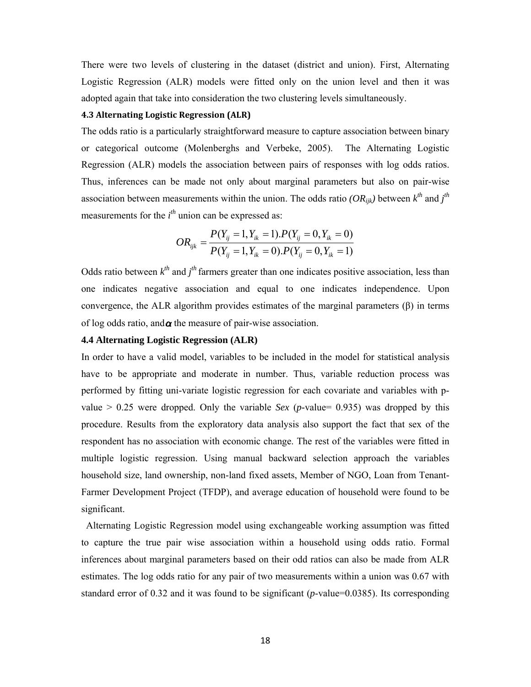There were two levels of clustering in the dataset (district and union). First, Alternating Logistic Regression (ALR) models were fitted only on the union level and then it was adopted again that take into consideration the two clustering levels simultaneously.

## **4.3 Alternating Logistic Regression (ALR)**

The odds ratio is a particularly straightforward measure to capture association between binary or categorical outcome (Molenberghs and Verbeke, 2005). The Alternating Logistic Regression (ALR) models the association between pairs of responses with log odds ratios. Thus, inferences can be made not only about marginal parameters but also on pair-wise association between measurements within the union. The odds ratio *(OR<sub>ijk</sub>)* between  $k^{th}$  and  $j^{th}$ measurements for the *i th* union can be expressed as:

$$
OR_{ijk} = \frac{P(Y_{ij} = 1, Y_{ik} = 1).P(Y_{ij} = 0, Y_{ik} = 0)}{P(Y_{ij} = 1, Y_{ik} = 0).P(Y_{ij} = 0, Y_{ik} = 1)}
$$

Odds ratio between  $k^{th}$  and  $j^{th}$  farmers greater than one indicates positive association, less than one indicates negative association and equal to one indicates independence. Upon convergence, the ALR algorithm provides estimates of the marginal parameters (β) in terms of log odds ratio, and  $\alpha$  the measure of pair-wise association.

## **4.4 Alternating Logistic Regression (ALR)**

In order to have a valid model, variables to be included in the model for statistical analysis have to be appropriate and moderate in number. Thus, variable reduction process was performed by fitting uni-variate logistic regression for each covariate and variables with pvalue  $> 0.25$  were dropped. Only the variable *Sex* (*p*-value= 0.935) was dropped by this procedure. Results from the exploratory data analysis also support the fact that sex of the respondent has no association with economic change. The rest of the variables were fitted in multiple logistic regression. Using manual backward selection approach the variables household size, land ownership, non-land fixed assets, Member of NGO, Loan from Tenant-Farmer Development Project (TFDP), and average education of household were found to be significant.

 Alternating Logistic Regression model using exchangeable working assumption was fitted to capture the true pair wise association within a household using odds ratio. Formal inferences about marginal parameters based on their odd ratios can also be made from ALR estimates. The log odds ratio for any pair of two measurements within a union was 0.67 with standard error of 0.32 and it was found to be significant (*p*-value=0.0385). Its corresponding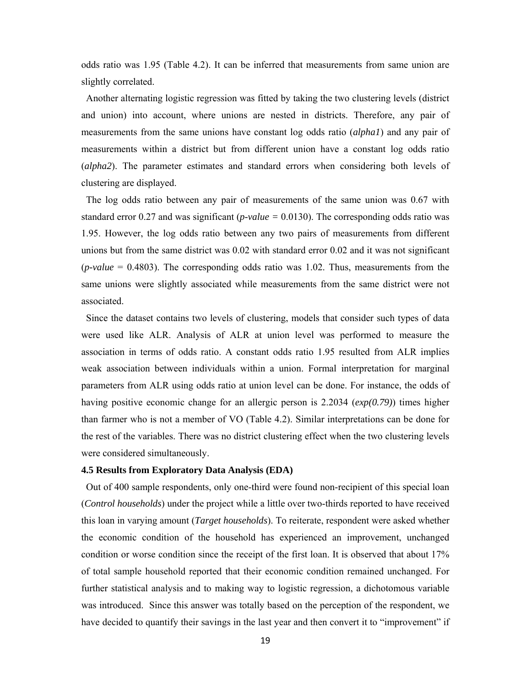odds ratio was 1.95 (Table 4.2). It can be inferred that measurements from same union are slightly correlated.

 Another alternating logistic regression was fitted by taking the two clustering levels (district and union) into account, where unions are nested in districts. Therefore, any pair of measurements from the same unions have constant log odds ratio (*alpha1*) and any pair of measurements within a district but from different union have a constant log odds ratio (*alpha2*). The parameter estimates and standard errors when considering both levels of clustering are displayed.

 The log odds ratio between any pair of measurements of the same union was 0.67 with standard error 0.27 and was significant ( $p-value = 0.0130$ ). The corresponding odds ratio was 1.95. However, the log odds ratio between any two pairs of measurements from different unions but from the same district was 0.02 with standard error 0.02 and it was not significant (*p-value* = 0.4803). The corresponding odds ratio was 1.02. Thus, measurements from the same unions were slightly associated while measurements from the same district were not associated.

 Since the dataset contains two levels of clustering, models that consider such types of data were used like ALR. Analysis of ALR at union level was performed to measure the association in terms of odds ratio. A constant odds ratio 1.95 resulted from ALR implies weak association between individuals within a union. Formal interpretation for marginal parameters from ALR using odds ratio at union level can be done. For instance, the odds of having positive economic change for an allergic person is 2.2034 (*exp(0.79)*) times higher than farmer who is not a member of VO (Table 4.2). Similar interpretations can be done for the rest of the variables. There was no district clustering effect when the two clustering levels were considered simultaneously.

#### **4.5 Results from Exploratory Data Analysis (EDA)**

 Out of 400 sample respondents, only one-third were found non-recipient of this special loan (*Control households*) under the project while a little over two-thirds reported to have received this loan in varying amount (*Target households*). To reiterate, respondent were asked whether the economic condition of the household has experienced an improvement, unchanged condition or worse condition since the receipt of the first loan. It is observed that about 17% of total sample household reported that their economic condition remained unchanged. For further statistical analysis and to making way to logistic regression, a dichotomous variable was introduced. Since this answer was totally based on the perception of the respondent, we have decided to quantify their savings in the last year and then convert it to "improvement" if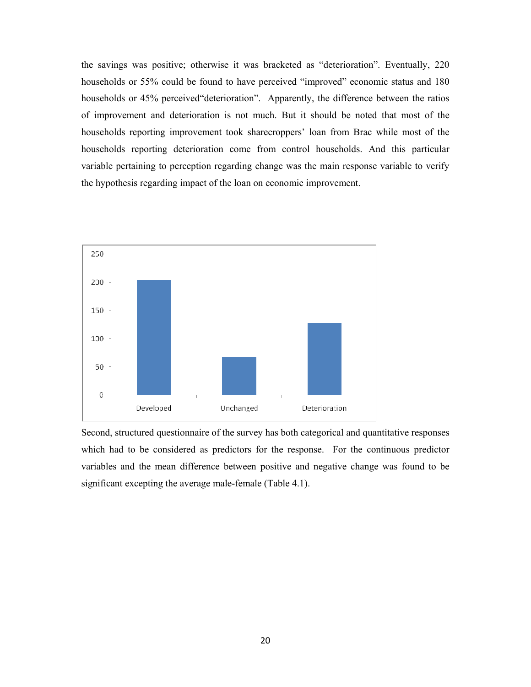the savings was positive; otherwise it was bracketed as "deterioration". Eventually, 220 households or 55% could be found to have perceived "improved" economic status and 180 households or 45% perceived deterioration". Apparently, the difference between the ratios of improvement and deterioration is not much. But it should be noted that most of the households reporting improvement took sharecroppers' loan from Brac while most of the households reporting deterioration come from control households. And this particular variable pertaining to perception regarding change was the main response variable to verify the hypothesis regarding impact of the loan on economic improvement.



Second, structured questionnaire of the survey has both categorical and quantitative responses which had to be considered as predictors for the response. For the continuous predictor variables and the mean difference between positive and negative change was found to be significant excepting the average male-female (Table 4.1).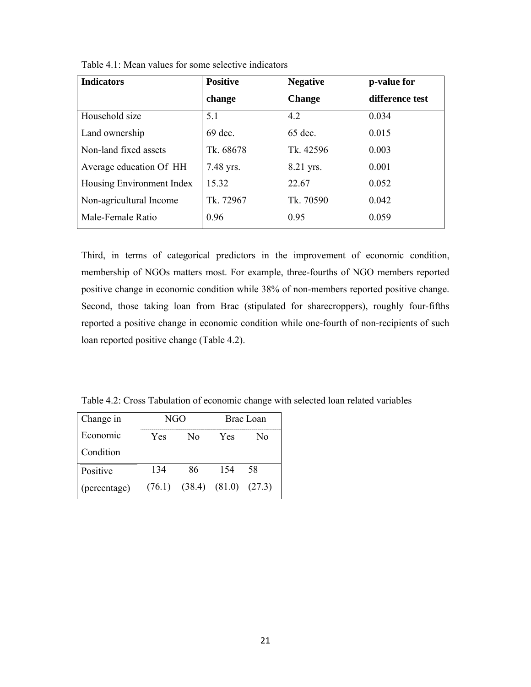| <b>Indicators</b>         | <b>Positive</b> | <b>Negative</b><br>p-value for |                 |
|---------------------------|-----------------|--------------------------------|-----------------|
|                           | change          | <b>Change</b>                  | difference test |
| Household size            | 5.1             | 4.2                            | 0.034           |
| Land ownership            | 69 dec.         | 65 dec.                        | 0.015           |
| Non-land fixed assets     | Tk. 68678       | Tk. 42596                      | 0.003           |
| Average education Of HH   | 7.48 yrs.       | 8.21 yrs.                      | 0.001           |
| Housing Environment Index | 15.32           | 22.67                          | 0.052           |
| Non-agricultural Income   | Tk. 72967       | Tk. 70590                      | 0.042           |
| Male-Female Ratio         | 0.96            | 0.95                           | 0.059           |

Table 4.1: Mean values for some selective indicators

Third, in terms of categorical predictors in the improvement of economic condition, membership of NGOs matters most. For example, three-fourths of NGO members reported positive change in economic condition while 38% of non-members reported positive change. Second, those taking loan from Brac (stipulated for sharecroppers), roughly four-fifths reported a positive change in economic condition while one-fourth of non-recipients of such loan reported positive change (Table 4.2).

Table 4.2: Cross Tabulation of economic change with selected loan related variables

| Change in    | NGO    |                   | Brac Loan |        |
|--------------|--------|-------------------|-----------|--------|
| Economic     | Yes    | Nο                | Yes       | N٥     |
| Condition    |        |                   |           |        |
| Positive     | 134    | 86                | 154       | 58     |
| (percentage) | (76.1) | $(38.4)$ $(81.0)$ |           | (27.3) |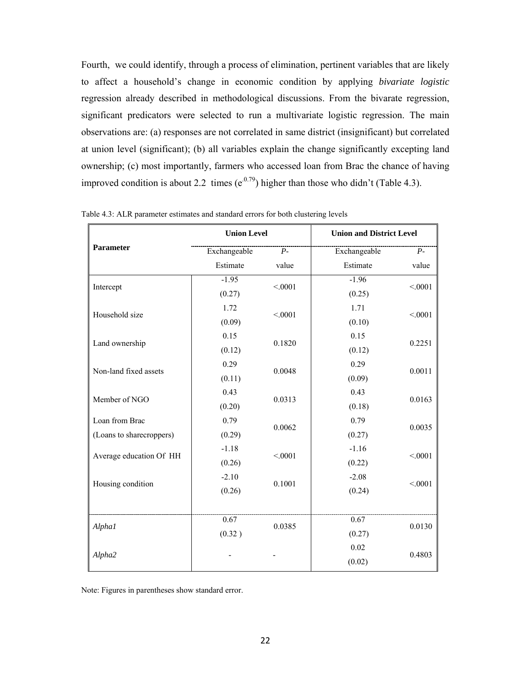Fourth, we could identify, through a process of elimination, pertinent variables that are likely to affect a household's change in economic condition by applying *bivariate logistic* regression already described in methodological discussions. From the bivarate regression, significant predicators were selected to run a multivariate logistic regression. The main observations are: (a) responses are not correlated in same district (insignificant) but correlated at union level (significant); (b) all variables explain the change significantly excepting land ownership; (c) most importantly, farmers who accessed loan from Brac the chance of having improved condition is about 2.2 times  $(e^{0.79})$  higher than those who didn't (Table 4.3).

|                          | <b>Union Level</b> |         | <b>Union and District Level</b> |         |
|--------------------------|--------------------|---------|---------------------------------|---------|
| <b>Parameter</b>         | Exchangeable       | $P-$    | Exchangeable                    | $P-$    |
|                          | Estimate           | value   | Estimate                        | value   |
| Intercept                | $-1.95$            | < .0001 | $-1.96$                         | < 0001  |
|                          | (0.27)             |         | (0.25)                          |         |
| Household size           | 1.72               | < 0001  | 1.71                            | < 0.001 |
|                          | (0.09)             |         | (0.10)                          |         |
| Land ownership           | 0.15               | 0.1820  | 0.15                            | 0.2251  |
|                          | (0.12)             |         | (0.12)                          |         |
| Non-land fixed assets    | 0.29               | 0.0048  | 0.29                            | 0.0011  |
|                          | (0.11)             |         | (0.09)                          |         |
|                          | 0.43               | 0.0313  | 0.43                            | 0.0163  |
| Member of NGO            | (0.20)             |         | (0.18)                          |         |
| Loan from Brac           | 0.79               | 0.0062  | 0.79                            | 0.0035  |
| (Loans to sharecroppers) | (0.29)             |         | (0.27)                          |         |
| Average education Of HH  | $-1.18$            | < 0001  | $-1.16$                         | < 0.001 |
|                          | (0.26)             |         | (0.22)                          |         |
| Housing condition        | $-2.10$            | 0.1001  | $-2.08$                         | < 0.001 |
|                          | (0.26)             |         | (0.24)                          |         |
|                          |                    |         |                                 |         |
| Alpha1                   | 0.67               | 0.0385  | 0.67                            | 0.0130  |
|                          | (0.32)             |         |                                 | (0.27)  |
|                          |                    |         | 0.02                            |         |
| Alpha2                   |                    |         | (0.02)                          | 0.4803  |

Table 4.3: ALR parameter estimates and standard errors for both clustering levels

Note: Figures in parentheses show standard error.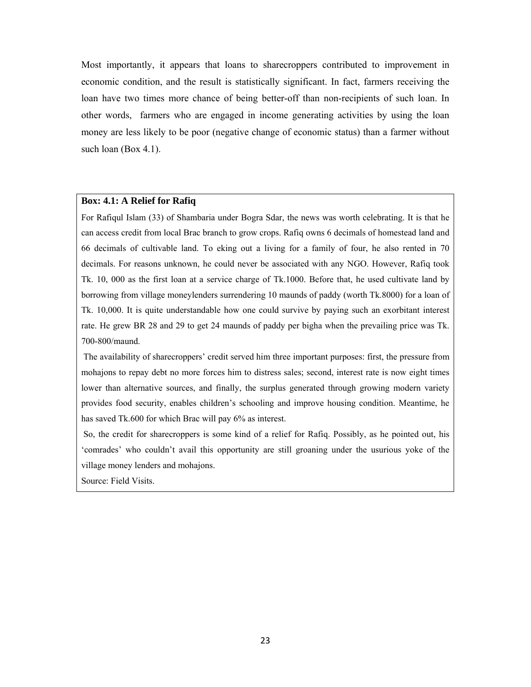Most importantly, it appears that loans to sharecroppers contributed to improvement in economic condition, and the result is statistically significant. In fact, farmers receiving the loan have two times more chance of being better-off than non-recipients of such loan. In other words, farmers who are engaged in income generating activities by using the loan money are less likely to be poor (negative change of economic status) than a farmer without such loan (Box 4.1).

## **Box: 4.1: A Relief for Rafiq**

For Rafiqul Islam (33) of Shambaria under Bogra Sdar, the news was worth celebrating. It is that he can access credit from local Brac branch to grow crops. Rafiq owns 6 decimals of homestead land and 66 decimals of cultivable land. To eking out a living for a family of four, he also rented in 70 decimals. For reasons unknown, he could never be associated with any NGO. However, Rafiq took Tk. 10, 000 as the first loan at a service charge of Tk.1000. Before that, he used cultivate land by borrowing from village moneylenders surrendering 10 maunds of paddy (worth Tk.8000) for a loan of Tk. 10,000. It is quite understandable how one could survive by paying such an exorbitant interest rate. He grew BR 28 and 29 to get 24 maunds of paddy per bigha when the prevailing price was Tk. 700-800/maund.

 The availability of sharecroppers' credit served him three important purposes: first, the pressure from mohajons to repay debt no more forces him to distress sales; second, interest rate is now eight times lower than alternative sources, and finally, the surplus generated through growing modern variety provides food security, enables children's schooling and improve housing condition. Meantime, he has saved Tk.600 for which Brac will pay 6% as interest.

 So, the credit for sharecroppers is some kind of a relief for Rafiq. Possibly, as he pointed out, his 'comrades' who couldn't avail this opportunity are still groaning under the usurious yoke of the village money lenders and mohajons.

Source: Field Visits.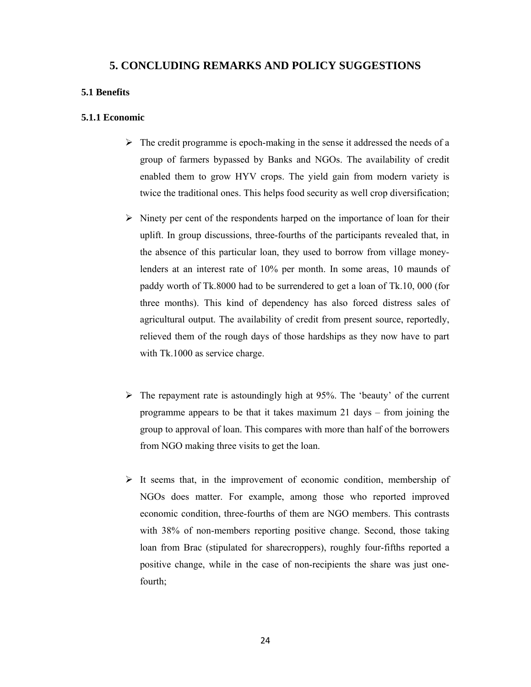# **5. CONCLUDING REMARKS AND POLICY SUGGESTIONS**

## **5.1 Benefits**

#### **5.1.1 Economic**

- $\triangleright$  The credit programme is epoch-making in the sense it addressed the needs of a group of farmers bypassed by Banks and NGOs. The availability of credit enabled them to grow HYV crops. The yield gain from modern variety is twice the traditional ones. This helps food security as well crop diversification;
- $\triangleright$  Ninety per cent of the respondents harped on the importance of loan for their uplift. In group discussions, three-fourths of the participants revealed that, in the absence of this particular loan, they used to borrow from village moneylenders at an interest rate of 10% per month. In some areas, 10 maunds of paddy worth of Tk.8000 had to be surrendered to get a loan of Tk.10, 000 (for three months). This kind of dependency has also forced distress sales of agricultural output. The availability of credit from present source, reportedly, relieved them of the rough days of those hardships as they now have to part with Tk.1000 as service charge.
- $\triangleright$  The repayment rate is astoundingly high at 95%. The 'beauty' of the current programme appears to be that it takes maximum 21 days – from joining the group to approval of loan. This compares with more than half of the borrowers from NGO making three visits to get the loan.
- $\triangleright$  It seems that, in the improvement of economic condition, membership of NGOs does matter. For example, among those who reported improved economic condition, three-fourths of them are NGO members. This contrasts with 38% of non-members reporting positive change. Second, those taking loan from Brac (stipulated for sharecroppers), roughly four-fifths reported a positive change, while in the case of non-recipients the share was just onefourth;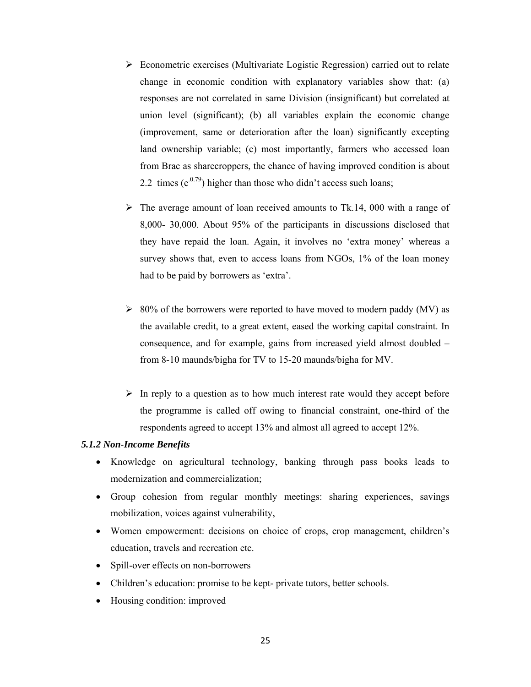- $\triangleright$  Econometric exercises (Multivariate Logistic Regression) carried out to relate change in economic condition with explanatory variables show that: (a) responses are not correlated in same Division (insignificant) but correlated at union level (significant); (b) all variables explain the economic change (improvement, same or deterioration after the loan) significantly excepting land ownership variable; (c) most importantly, farmers who accessed loan from Brac as sharecroppers, the chance of having improved condition is about 2.2 times  $(e^{0.79})$  higher than those who didn't access such loans;
- $\triangleright$  The average amount of loan received amounts to Tk.14, 000 with a range of 8,000- 30,000. About 95% of the participants in discussions disclosed that they have repaid the loan. Again, it involves no 'extra money' whereas a survey shows that, even to access loans from NGOs, 1% of the loan money had to be paid by borrowers as 'extra'.
- $\geq 80\%$  of the borrowers were reported to have moved to modern paddy (MV) as the available credit, to a great extent, eased the working capital constraint. In consequence, and for example, gains from increased yield almost doubled – from 8-10 maunds/bigha for TV to 15-20 maunds/bigha for MV.
- $\triangleright$  In reply to a question as to how much interest rate would they accept before the programme is called off owing to financial constraint, one-third of the respondents agreed to accept 13% and almost all agreed to accept 12%.

## *5.1.2 Non-Income Benefits*

- Knowledge on agricultural technology, banking through pass books leads to modernization and commercialization;
- Group cohesion from regular monthly meetings: sharing experiences, savings mobilization, voices against vulnerability,
- Women empowerment: decisions on choice of crops, crop management, children's education, travels and recreation etc.
- Spill-over effects on non-borrowers
- Children's education: promise to be kept- private tutors, better schools.
- Housing condition: improved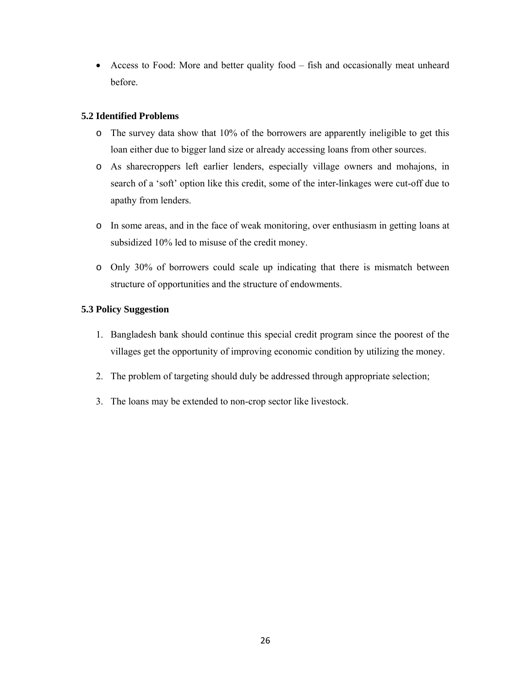• Access to Food: More and better quality food – fish and occasionally meat unheard before.

# **5.2 Identified Problems**

- o The survey data show that 10% of the borrowers are apparently ineligible to get this loan either due to bigger land size or already accessing loans from other sources.
- o As sharecroppers left earlier lenders, especially village owners and mohajons, in search of a 'soft' option like this credit, some of the inter-linkages were cut-off due to apathy from lenders.
- o In some areas, and in the face of weak monitoring, over enthusiasm in getting loans at subsidized 10% led to misuse of the credit money.
- o Only 30% of borrowers could scale up indicating that there is mismatch between structure of opportunities and the structure of endowments.

# **5.3 Policy Suggestion**

- 1. Bangladesh bank should continue this special credit program since the poorest of the villages get the opportunity of improving economic condition by utilizing the money.
- 2. The problem of targeting should duly be addressed through appropriate selection;
- 3. The loans may be extended to non-crop sector like livestock.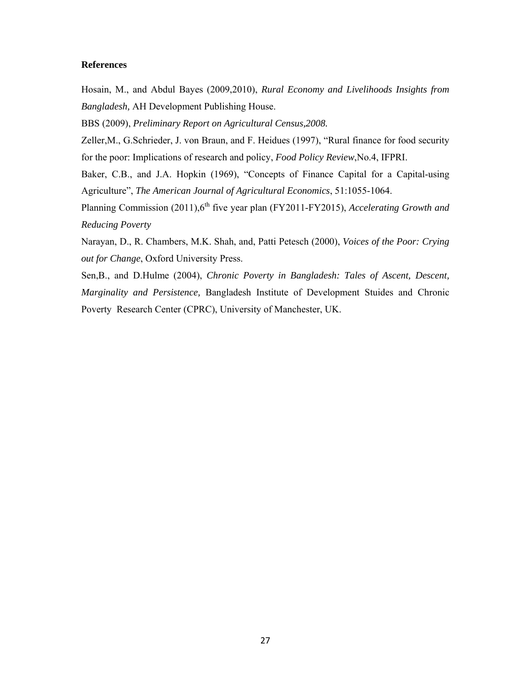#### **References**

Hosain, M., and Abdul Bayes (2009,2010), *Rural Economy and Livelihoods Insights from Bangladesh,* AH Development Publishing House.

BBS (2009), *Preliminary Report on Agricultural Census,2008.* 

Zeller,M., G.Schrieder, J. von Braun, and F. Heidues (1997), "Rural finance for food security for the poor: Implications of research and policy, *Food Policy Review*,No.4, IFPRI.

Baker, C.B., and J.A. Hopkin (1969), "Concepts of Finance Capital for a Capital-using Agriculture", *The American Journal of Agricultural Economics*, 51:1055-1064.

Planning Commission (2011),6<sup>th</sup> five year plan (FY2011-FY2015), *Accelerating Growth and Reducing Poverty*

Narayan, D., R. Chambers, M.K. Shah, and, Patti Petesch (2000), *Voices of the Poor: Crying out for Change*, Oxford University Press.

Sen,B., and D.Hulme (2004), *Chronic Poverty in Bangladesh: Tales of Ascent, Descent, Marginality and Persistence,* Bangladesh Institute of Development Stuides and Chronic Poverty Research Center (CPRC), University of Manchester, UK.